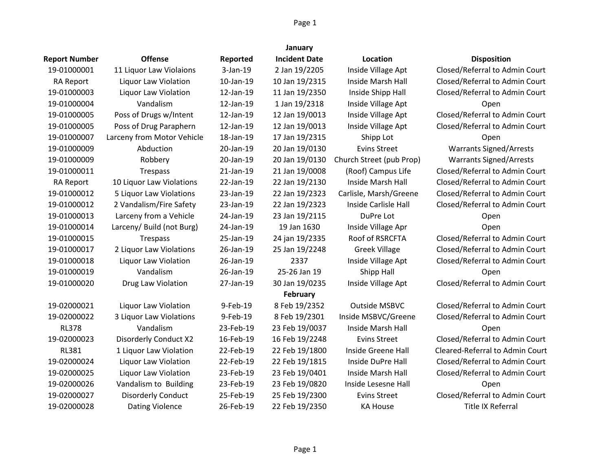| January              |                            |           |                      |                          |                                 |  |
|----------------------|----------------------------|-----------|----------------------|--------------------------|---------------------------------|--|
| <b>Report Number</b> | <b>Offense</b>             | Reported  | <b>Incident Date</b> | Location                 | <b>Disposition</b>              |  |
| 19-01000001          | 11 Liquor Law Violaions    | 3-Jan-19  | 2 Jan 19/2205        | Inside Village Apt       | Closed/Referral to Admin Court  |  |
| <b>RA Report</b>     | Liquor Law Violation       | 10-Jan-19 | 10 Jan 19/2315       | Inside Marsh Hall        | Closed/Referral to Admin Court  |  |
| 19-01000003          | Liquor Law Violation       | 12-Jan-19 | 11 Jan 19/2350       | Inside Shipp Hall        | Closed/Referral to Admin Court  |  |
| 19-01000004          | Vandalism                  | 12-Jan-19 | 1 Jan 19/2318        | Inside Village Apt       | Open                            |  |
| 19-01000005          | Poss of Drugs w/Intent     | 12-Jan-19 | 12 Jan 19/0013       | Inside Village Apt       | Closed/Referral to Admin Court  |  |
| 19-01000005          | Poss of Drug Paraphern     | 12-Jan-19 | 12 Jan 19/0013       | Inside Village Apt       | Closed/Referral to Admin Court  |  |
| 19-01000007          | Larceny from Motor Vehicle | 18-Jan-19 | 17 Jan 19/2315       | Shipp Lot                | Open                            |  |
| 19-01000009          | Abduction                  | 20-Jan-19 | 20 Jan 19/0130       | <b>Evins Street</b>      | <b>Warrants Signed/Arrests</b>  |  |
| 19-01000009          | Robbery                    | 20-Jan-19 | 20 Jan 19/0130       | Church Street (pub Prop) | <b>Warrants Signed/Arrests</b>  |  |
| 19-01000011          | Trespass                   | 21-Jan-19 | 21 Jan 19/0008       | (Roof) Campus Life       | Closed/Referral to Admin Court  |  |
| <b>RA Report</b>     | 10 Liquor Law Violations   | 22-Jan-19 | 22 Jan 19/2130       | Inside Marsh Hall        | Closed/Referral to Admin Court  |  |
| 19-01000012          | 5 Liquor Law Violations    | 23-Jan-19 | 22 Jan 19/2323       | Carlisle, Marsh/Greene   | Closed/Referral to Admin Court  |  |
| 19-01000012          | 2 Vandalism/Fire Safety    | 23-Jan-19 | 22 Jan 19/2323       | Inside Carlisle Hall     | Closed/Referral to Admin Court  |  |
| 19-01000013          | Larceny from a Vehicle     | 24-Jan-19 | 23 Jan 19/2115       | DuPre Lot                | Open                            |  |
| 19-01000014          | Larceny/ Build (not Burg)  | 24-Jan-19 | 19 Jan 1630          | Inside Village Apr       | Open                            |  |
| 19-01000015          | Trespass                   | 25-Jan-19 | 24 jan 19/2335       | Roof of RSRCFTA          | Closed/Referral to Admin Court  |  |
| 19-01000017          | 2 Liquor Law Violations    | 26-Jan-19 | 25 Jan 19/2248       | <b>Greek Village</b>     | Closed/Referral to Admin Court  |  |
| 19-01000018          | Liquor Law Violation       | 26-Jan-19 | 2337                 | Inside Village Apt       | Closed/Referral to Admin Court  |  |
| 19-01000019          | Vandalism                  | 26-Jan-19 | 25-26 Jan 19         | Shipp Hall               | Open                            |  |
| 19-01000020          | Drug Law Violation         | 27-Jan-19 | 30 Jan 19/0235       | Inside Village Apt       | Closed/Referral to Admin Court  |  |
|                      |                            |           | February             |                          |                                 |  |
| 19-02000021          | Liquor Law Violation       | 9-Feb-19  | 8 Feb 19/2352        | <b>Outside MSBVC</b>     | Closed/Referral to Admin Court  |  |
| 19-02000022          | 3 Liquor Law Violations    | 9-Feb-19  | 8 Feb 19/2301        | Inside MSBVC/Greene      | Closed/Referral to Admin Court  |  |
| <b>RL378</b>         | Vandalism                  | 23-Feb-19 | 23 Feb 19/0037       | Inside Marsh Hall        | Open                            |  |
| 19-02000023          | Disorderly Conduct X2      | 16-Feb-19 | 16 Feb 19/2248       | <b>Evins Street</b>      | Closed/Referral to Admin Court  |  |
| <b>RL381</b>         | 1 Liquor Law Violation     | 22-Feb-19 | 22 Feb 19/1800       | Inside Greene Hall       | Cleared-Referral to Admin Court |  |
| 19-02000024          | Liquor Law Violation       | 22-Feb-19 | 22 Feb 19/1815       | Inside DuPre Hall        | Closed/Referral to Admin Court  |  |
| 19-02000025          | Liquor Law Violation       | 23-Feb-19 | 23 Feb 19/0401       | Inside Marsh Hall        | Closed/Referral to Admin Court  |  |
| 19-02000026          | Vandalism to Building      | 23-Feb-19 | 23 Feb 19/0820       | Inside Lesesne Hall      | Open                            |  |
| 19-02000027          | <b>Disorderly Conduct</b>  | 25-Feb-19 | 25 Feb 19/2300       | <b>Evins Street</b>      | Closed/Referral to Admin Court  |  |
| 19-02000028          | <b>Dating Violence</b>     | 26-Feb-19 | 22 Feb 19/2350       | <b>KA House</b>          | Title IX Referral               |  |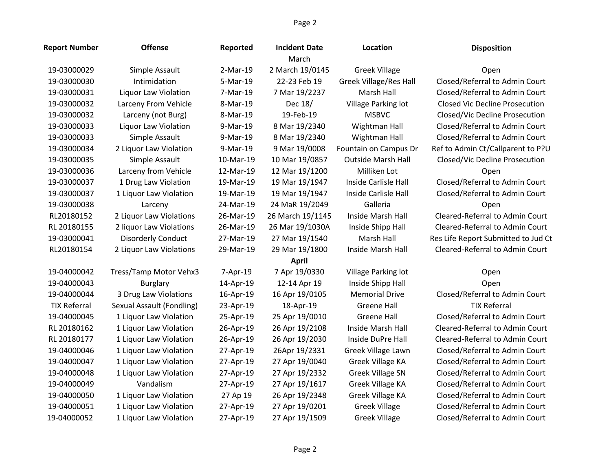| <b>Report Number</b> | <b>Offense</b>            | Reported  | <b>Incident Date</b><br>March | Location                      | <b>Disposition</b>                    |
|----------------------|---------------------------|-----------|-------------------------------|-------------------------------|---------------------------------------|
| 19-03000029          | Simple Assault            | 2-Mar-19  | 2 March 19/0145               | <b>Greek Village</b>          | Open                                  |
| 19-03000030          | Intimidation              | 5-Mar-19  | 22-23 Feb 19                  | <b>Greek Village/Res Hall</b> | Closed/Referral to Admin Court        |
| 19-03000031          | Liquor Law Violation      | 7-Mar-19  | 7 Mar 19/2237                 | Marsh Hall                    | Closed/Referral to Admin Court        |
| 19-03000032          | Larceny From Vehicle      | 8-Mar-19  | Dec 18/                       | Village Parking lot           | <b>Closed Vic Decline Prosecution</b> |
| 19-03000032          | Larceny (not Burg)        | 8-Mar-19  | 19-Feb-19                     | <b>MSBVC</b>                  | Closed/Vic Decline Prosecution        |
| 19-03000033          | Liquor Law Violation      | 9-Mar-19  | 8 Mar 19/2340                 | Wightman Hall                 | Closed/Referral to Admin Court        |
| 19-03000033          | Simple Assault            | 9-Mar-19  | 8 Mar 19/2340                 | Wightman Hall                 | Closed/Referral to Admin Court        |
| 19-03000034          | 2 Liquor Law Violation    | 9-Mar-19  | 9 Mar 19/0008                 | Fountain on Campus Dr         | Ref to Admin Ct/Callparent to P?U     |
| 19-03000035          | Simple Assault            | 10-Mar-19 | 10 Mar 19/0857                | <b>Outside Marsh Hall</b>     | Closed/Vic Decline Prosecution        |
| 19-03000036          | Larceny from Vehicle      | 12-Mar-19 | 12 Mar 19/1200                | Milliken Lot                  | Open                                  |
| 19-03000037          | 1 Drug Law Violation      | 19-Mar-19 | 19 Mar 19/1947                | Inside Carlisle Hall          | Closed/Referral to Admin Court        |
| 19-03000037          | 1 Liquor Law Violation    | 19-Mar-19 | 19 Mar 19/1947                | Inside Carlisle Hall          | Closed/Referral to Admin Court        |
| 19-03000038          | Larceny                   | 24-Mar-19 | 24 MaR 19/2049                | Galleria                      | Open                                  |
| RL20180152           | 2 Liquor Law Violations   | 26-Mar-19 | 26 March 19/1145              | Inside Marsh Hall             | Cleared-Referral to Admin Court       |
| RL 20180155          | 2 liquor Law Violations   | 26-Mar-19 | 26 Mar 19/1030A               | Inside Shipp Hall             | Cleared-Referral to Admin Court       |
| 19-03000041          | <b>Disorderly Conduct</b> | 27-Mar-19 | 27 Mar 19/1540                | Marsh Hall                    | Res Life Report Submitted to Jud Ct   |
| RL20180154           | 2 Liquor Law Violations   | 29-Mar-19 | 29 Mar 19/1800                | Inside Marsh Hall             | Cleared-Referral to Admin Court       |
|                      |                           |           | <b>April</b>                  |                               |                                       |
| 19-04000042          | Tress/Tamp Motor Vehx3    | 7-Apr-19  | 7 Apr 19/0330                 | Village Parking lot           | Open                                  |
| 19-04000043          | Burglary                  | 14-Apr-19 | 12-14 Apr 19                  | Inside Shipp Hall             | Open                                  |
| 19-04000044          | 3 Drug Law Violations     | 16-Apr-19 | 16 Apr 19/0105                | <b>Memorial Drive</b>         | Closed/Referral to Admin Court        |
| <b>TIX Referral</b>  | Sexual Assault (Fondling) | 23-Apr-19 | 18-Apr-19                     | <b>Greene Hall</b>            | <b>TIX Referral</b>                   |
| 19-04000045          | 1 Liquor Law Violation    | 25-Apr-19 | 25 Apr 19/0010                | <b>Greene Hall</b>            | Closed/Referral to Admin Court        |
| RL 20180162          | 1 Liquor Law Violation    | 26-Apr-19 | 26 Apr 19/2108                | Inside Marsh Hall             | Cleared-Referral to Admin Court       |
| RL 20180177          | 1 Liquor Law Violation    | 26-Apr-19 | 26 Apr 19/2030                | Inside DuPre Hall             | Cleared-Referral to Admin Court       |
| 19-04000046          | 1 Liquor Law Violation    | 27-Apr-19 | 26Apr 19/2331                 | Greek Village Lawn            | Closed/Referral to Admin Court        |
| 19-04000047          | 1 Liquor Law Violation    | 27-Apr-19 | 27 Apr 19/0040                | Greek Village KA              | Closed/Referral to Admin Court        |
| 19-04000048          | 1 Liquor Law Violation    | 27-Apr-19 | 27 Apr 19/2332                | <b>Greek Village SN</b>       | Closed/Referral to Admin Court        |
| 19-04000049          | Vandalism                 | 27-Apr-19 | 27 Apr 19/1617                | Greek Village KA              | Closed/Referral to Admin Court        |
| 19-04000050          | 1 Liquor Law Violation    | 27 Ap 19  | 26 Apr 19/2348                | Greek Village KA              | Closed/Referral to Admin Court        |
| 19-04000051          | 1 Liquor Law Violation    | 27-Apr-19 | 27 Apr 19/0201                | <b>Greek Village</b>          | Closed/Referral to Admin Court        |
| 19-04000052          | 1 Liquor Law Violation    | 27-Apr-19 | 27 Apr 19/1509                | <b>Greek Village</b>          | Closed/Referral to Admin Court        |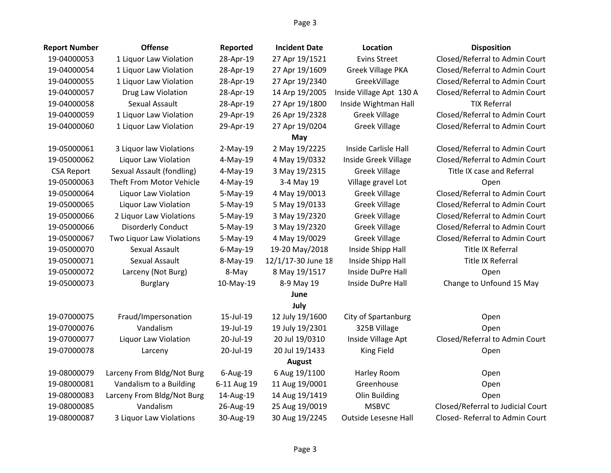| <b>Report Number</b> | <b>Offense</b>             | Reported    | <b>Incident Date</b> | Location                    | <b>Disposition</b>                |
|----------------------|----------------------------|-------------|----------------------|-----------------------------|-----------------------------------|
| 19-04000053          | 1 Liquor Law Violation     | 28-Apr-19   | 27 Apr 19/1521       | <b>Evins Street</b>         | Closed/Referral to Admin Court    |
| 19-04000054          | 1 Liquor Law Violation     | 28-Apr-19   | 27 Apr 19/1609       | <b>Greek Village PKA</b>    | Closed/Referral to Admin Court    |
| 19-04000055          | 1 Liquor Law Violation     | 28-Apr-19   | 27 Apr 19/2340       | GreekVillage                | Closed/Referral to Admin Court    |
| 19-04000057          | Drug Law Violation         | 28-Apr-19   | 14 Arp 19/2005       | Inside Village Apt 130 A    | Closed/Referral to Admin Court    |
| 19-04000058          | Sexual Assault             | 28-Apr-19   | 27 Apr 19/1800       | Inside Wightman Hall        | <b>TIX Referral</b>               |
| 19-04000059          | 1 Liquor Law Violation     | 29-Apr-19   | 26 Apr 19/2328       | <b>Greek Village</b>        | Closed/Referral to Admin Court    |
| 19-04000060          | 1 Liquor Law Violation     | 29-Apr-19   | 27 Apr 19/0204       | <b>Greek Village</b>        | Closed/Referral to Admin Court    |
|                      |                            |             | May                  |                             |                                   |
| 19-05000061          | 3 Liquor law Violations    | $2-May-19$  | 2 May 19/2225        | Inside Carlisle Hall        | Closed/Referral to Admin Court    |
| 19-05000062          | Liquor Law Violation       | 4-May-19    | 4 May 19/0332        | Inside Greek Village        | Closed/Referral to Admin Court    |
| <b>CSA Report</b>    | Sexual Assault (fondling)  | $4-May-19$  | 3 May 19/2315        | <b>Greek Village</b>        | Title IX case and Referral        |
| 19-05000063          | Theft From Motor Vehicle   | 4-May-19    | 3-4 May 19           | Village gravel Lot          | Open                              |
| 19-05000064          | Liquor Law Violation       | 5-May-19    | 4 May 19/0013        | <b>Greek Village</b>        | Closed/Referral to Admin Court    |
| 19-05000065          | Liquor Law Violation       | 5-May-19    | 5 May 19/0133        | <b>Greek Village</b>        | Closed/Referral to Admin Court    |
| 19-05000066          | 2 Liquor Law Violations    | 5-May-19    | 3 May 19/2320        | <b>Greek Village</b>        | Closed/Referral to Admin Court    |
| 19-05000066          | <b>Disorderly Conduct</b>  | $5-May-19$  | 3 May 19/2320        | <b>Greek Village</b>        | Closed/Referral to Admin Court    |
| 19-05000067          | Two Liquor Law Violations  | $5-May-19$  | 4 May 19/0029        | <b>Greek Village</b>        | Closed/Referral to Admin Court    |
| 19-05000070          | Sexual Assault             | $6$ -May-19 | 19-20 May/2018       | Inside Shipp Hall           | <b>Title IX Referral</b>          |
| 19-05000071          | Sexual Assault             | 8-May-19    | 12/1/17-30 June 18   | Inside Shipp Hall           | Title IX Referral                 |
| 19-05000072          | Larceny (Not Burg)         | 8-May       | 8 May 19/1517        | Inside DuPre Hall           | Open                              |
| 19-05000073          | <b>Burglary</b>            | 10-May-19   | 8-9 May 19           | Inside DuPre Hall           | Change to Unfound 15 May          |
|                      |                            |             | June                 |                             |                                   |
|                      |                            |             | July                 |                             |                                   |
| 19-07000075          | Fraud/Impersonation        | 15-Jul-19   | 12 July 19/1600      | City of Spartanburg         | Open                              |
| 19-07000076          | Vandalism                  | 19-Jul-19   | 19 July 19/2301      | 325B Village                | Open                              |
| 19-07000077          | Liquor Law Violation       | 20-Jul-19   | 20 Jul 19/0310       | Inside Village Apt          | Closed/Referral to Admin Court    |
| 19-07000078          | Larceny                    | 20-Jul-19   | 20 Jul 19/1433       | <b>King Field</b>           | Open                              |
|                      |                            |             | <b>August</b>        |                             |                                   |
| 19-08000079          | Larceny From Bldg/Not Burg | 6-Aug-19    | 6 Aug 19/1100        | Harley Room                 | Open                              |
| 19-08000081          | Vandalism to a Building    | 6-11 Aug 19 | 11 Aug 19/0001       | Greenhouse                  | Open                              |
| 19-08000083          | Larceny From Bldg/Not Burg | 14-Aug-19   | 14 Aug 19/1419       | Olin Building               | Open                              |
| 19-08000085          | Vandalism                  | 26-Aug-19   | 25 Aug 19/0019       | <b>MSBVC</b>                | Closed/Referral to Judicial Court |
| 19-08000087          | 3 Liquor Law Violations    | 30-Aug-19   | 30 Aug 19/2245       | <b>Outside Lesesne Hall</b> | Closed-Referral to Admin Court    |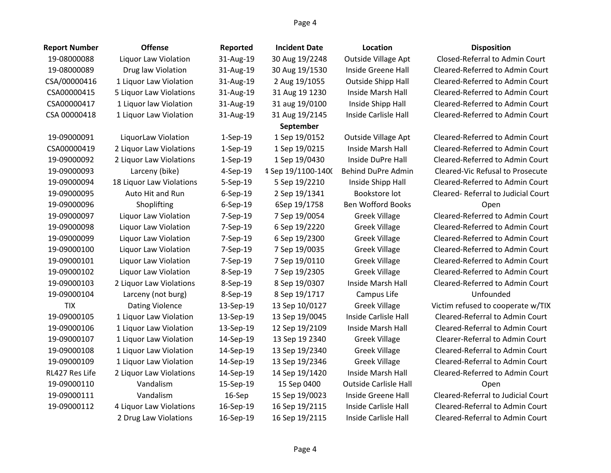| <b>Report Number</b> | <b>Offense</b>           | Reported   | <b>Incident Date</b> | Location                     | <b>Disposition</b>                      |
|----------------------|--------------------------|------------|----------------------|------------------------------|-----------------------------------------|
| 19-08000088          | Liquor Law Violation     | 31-Aug-19  | 30 Aug 19/2248       | <b>Outside Village Apt</b>   | Closed-Referral to Admin Court          |
| 19-08000089          | Drug law Violation       | 31-Aug-19  | 30 Aug 19/1530       | Inside Greene Hall           | Cleared-Referred to Admin Court         |
| CSA/00000416         | 1 Liquor Law Violation   | 31-Aug-19  | 2 Aug 19/1055        | <b>Outside Shipp Hall</b>    | Cleared-Referred to Admin Court         |
| CSA00000415          | 5 Liquor Law Violations  | 31-Aug-19  | 31 Aug 19 1230       | Inside Marsh Hall            | Cleared-Referred to Admin Court         |
| CSA00000417          | 1 Liquor law Violation   | 31-Aug-19  | 31 aug 19/0100       | Inside Shipp Hall            | Cleared-Referred to Admin Court         |
| CSA 00000418         | 1 Liquor Law Violation   | 31-Aug-19  | 31 Aug 19/2145       | Inside Carlisle Hall         | Cleared-Referred to Admin Court         |
|                      |                          |            | September            |                              |                                         |
| 19-09000091          | LiquorLaw Violation      | $1-Sep-19$ | 1 Sep 19/0152        | Outside Village Apt          | Cleared-Referred to Admin Court         |
| CSA00000419          | 2 Liquor Law Violations  | $1-Sep-19$ | 1 Sep 19/0215        | Inside Marsh Hall            | Cleared-Referred to Admin Court         |
| 19-09000092          | 2 Liquor Law Violations  | $1-Sep-19$ | 1 Sep 19/0430        | Inside DuPre Hall            | Cleared-Referred to Admin Court         |
| 19-09000093          | Larceny (bike)           | 4-Sep-19   | 1 Sep 19/1100-1400   | Behind DuPre Admin           | <b>Cleared-Vic Refusal to Prosecute</b> |
| 19-09000094          | 18 Liquor Law Violations | 5-Sep-19   | 5 Sep 19/2210        | Inside Shipp Hall            | Cleared-Referred to Admin Court         |
| 19-09000095          | Auto Hit and Run         | 6-Sep-19   | 2 Sep 19/1341        | Bookstore lot                | Cleared-Referral to Judicial Court      |
| 19-09000096          | Shoplifting              | 6-Sep-19   | 6Sep 19/1758         | <b>Ben Wofford Books</b>     | Open                                    |
| 19-09000097          | Liquor Law Violation     | 7-Sep-19   | 7 Sep 19/0054        | <b>Greek Village</b>         | Cleared-Referred to Admin Court         |
| 19-09000098          | Liquor Law Violation     | 7-Sep-19   | 6 Sep 19/2220        | <b>Greek Village</b>         | Cleared-Referred to Admin Court         |
| 19-09000099          | Liquor Law Violation     | 7-Sep-19   | 6 Sep 19/2300        | <b>Greek Village</b>         | Cleared-Referred to Admin Court         |
| 19-09000100          | Liquor Law Violation     | 7-Sep-19   | 7 Sep 19/0035        | <b>Greek Village</b>         | Cleared-Referred to Admin Court         |
| 19-09000101          | Liquor Law Violation     | 7-Sep-19   | 7 Sep 19/0110        | <b>Greek Village</b>         | Cleared-Referred to Admin Court         |
| 19-09000102          | Liquor Law Violation     | 8-Sep-19   | 7 Sep 19/2305        | <b>Greek Village</b>         | Cleared-Referred to Admin Court         |
| 19-09000103          | 2 Liquor Law Violations  | 8-Sep-19   | 8 Sep 19/0307        | Inside Marsh Hall            | Cleared-Referred to Admin Court         |
| 19-09000104          | Larceny (not burg)       | 8-Sep-19   | 8 Sep 19/1717        | Campus Life                  | Unfounded                               |
| <b>TIX</b>           | <b>Dating Violence</b>   | 13-Sep-19  | 13 Sep 10/0127       | <b>Greek Village</b>         | Victim refused to cooperate w/TIX       |
| 19-09000105          | 1 Liquor Law Violation   | 13-Sep-19  | 13 Sep 19/0045       | Inside Carlisle Hall         | Cleared-Referral to Admin Court         |
| 19-09000106          | 1 Liquor Law Violation   | 13-Sep-19  | 12 Sep 19/2109       | Inside Marsh Hall            | Cleared-Referral to Admin Court         |
| 19-09000107          | 1 Liquor Law Violation   | 14-Sep-19  | 13 Sep 19 2340       | <b>Greek Village</b>         | Clearer-Referral to Admin Court         |
| 19-09000108          | 1 Liquor Law Violation   | 14-Sep-19  | 13 Sep 19/2340       | <b>Greek Village</b>         | Cleared-Referral to Admin Court         |
| 19-09000109          | 1 Liquor Law Violation   | 14-Sep-19  | 13 Sep 19/2346       | <b>Greek Village</b>         | Cleared-Referral to Admin Court         |
| RL427 Res Life       | 2 Liquor Law Violations  | 14-Sep-19  | 14 Sep 19/1420       | Inside Marsh Hall            | Cleared-Referred to Admin Court         |
| 19-09000110          | Vandalism                | 15-Sep-19  | 15 Sep 0400          | <b>Outside Carlisle Hall</b> | Open                                    |
| 19-09000111          | Vandalism                | $16-$ Sep  | 15 Sep 19/0023       | Inside Greene Hall           | Cleared-Referral to Judicial Court      |
| 19-09000112          | 4 Liquor Law Violations  | 16-Sep-19  | 16 Sep 19/2115       | Inside Carlisle Hall         | Cleared-Referral to Admin Court         |
|                      | 2 Drug Law Violations    | 16-Sep-19  | 16 Sep 19/2115       | Inside Carlisle Hall         | Cleared-Referral to Admin Court         |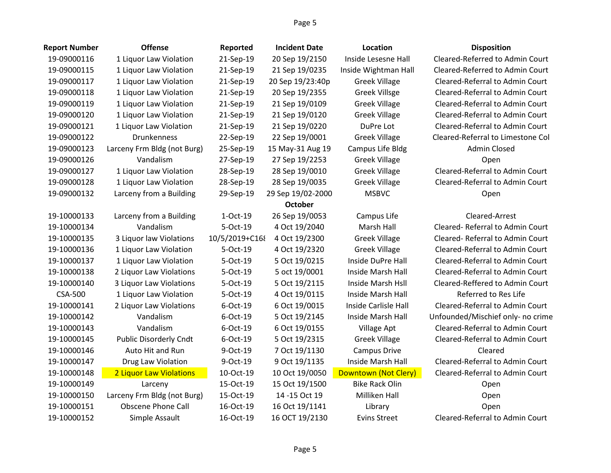| <b>Report Number</b> | <b>Offense</b>                | Reported       | <b>Incident Date</b> | Location              | <b>Disposition</b>                |
|----------------------|-------------------------------|----------------|----------------------|-----------------------|-----------------------------------|
| 19-09000116          | 1 Liquor Law Violation        | 21-Sep-19      | 20 Sep 19/2150       | Inside Lesesne Hall   | Cleared-Referred to Admin Court   |
| 19-09000115          | 1 Liquor Law Violation        | 21-Sep-19      | 21 Sep 19/0235       | Inside Wightman Hall  | Cleared-Referred to Admin Court   |
| 19-09000117          | 1 Liquor Law Violation        | 21-Sep-19      | 20 Sep 19/23:40p     | <b>Greek Village</b>  | Cleared-Referral to Admin Court   |
| 19-09000118          | 1 Liquor Law Violation        | 21-Sep-19      | 20 Sep 19/2355       | <b>Greek Villsge</b>  | Cleared-Referral to Admin Court   |
| 19-09000119          | 1 Liquor Law Violation        | 21-Sep-19      | 21 Sep 19/0109       | <b>Greek Village</b>  | Cleared-Referral to Admin Court   |
| 19-09000120          | 1 Liquor Law Violation        | 21-Sep-19      | 21 Sep 19/0120       | <b>Greek Village</b>  | Cleared-Referral to Admin Court   |
| 19-09000121          | 1 Liquor Law Violation        | 21-Sep-19      | 21 Sep 19/0220       | DuPre Lot             | Cleared-Referral to Admin Court   |
| 19-09000122          | <b>Drunkenness</b>            | 22-Sep-19      | 22 Sep 19/0001       | <b>Greek Village</b>  | Cleared-Referral to Limestone Col |
| 19-09000123          | Larceny Frm Bldg (not Burg)   | 25-Sep-19      | 15 May-31 Aug 19     | Campus Life Bldg      | <b>Admin Closed</b>               |
| 19-09000126          | Vandalism                     | 27-Sep-19      | 27 Sep 19/2253       | <b>Greek Village</b>  | Open                              |
| 19-09000127          | 1 Liquor Law Violation        | 28-Sep-19      | 28 Sep 19/0010       | <b>Greek Village</b>  | Cleared-Referral to Admin Court   |
| 19-09000128          | 1 Liquor Law Violation        | 28-Sep-19      | 28 Sep 19/0035       | <b>Greek Village</b>  | Cleared-Referral to Admin Court   |
| 19-09000132          | Larceny from a Building       | 29-Sep-19      | 29 Sep 19/02-2000    | <b>MSBVC</b>          | Open                              |
|                      |                               |                | <b>October</b>       |                       |                                   |
| 19-10000133          | Larceny from a Building       | 1-Oct-19       | 26 Sep 19/0053       | Campus Life           | Cleared-Arrest                    |
| 19-10000134          | Vandalism                     | 5-Oct-19       | 4 Oct 19/2040        | Marsh Hall            | Cleared-Referral to Admin Court   |
| 19-10000135          | 3 Liquor law Violations       | 10/5/2019+C168 | 4 Oct 19/2300        | <b>Greek Village</b>  | Cleared-Referral to Admin Court   |
| 19-10000136          | 1 Liquor Law Violation        | 5-Oct-19       | 4 Oct 19/2320        | <b>Greek Village</b>  | Cleared-Referral to Admin Court   |
| 19-10000137          | 1 Liquor Law Violation        | 5-Oct-19       | 5 Oct 19/0215        | Inside DuPre Hall     | Cleared-Referral to Admin Court   |
| 19-10000138          | 2 Liquor Law Violations       | 5-Oct-19       | 5 oct 19/0001        | Inside Marsh Hall     | Cleared-Referral to Admin Court   |
| 19-10000140          | 3 Liquor Law Violations       | 5-Oct-19       | 5 Oct 19/2115        | Inside Marsh Hsll     | Cleared-Reffered to Admin Court   |
| <b>CSA-500</b>       | 1 Liquor Law Violation        | 5-Oct-19       | 4 Oct 19/0115        | Inside Marsh Hall     | Referred to Res Life              |
| 19-10000141          | 2 Liquor Law Violations       | 6-Oct-19       | 6 Oct 19/0015        | Inside Carlisle Hall  | Cleared-Referral to Admin Court   |
| 19-10000142          | Vandalism                     | 6-Oct-19       | 5 Oct 19/2145        | Inside Marsh Hall     | Unfounded/Mischief only- no crime |
| 19-10000143          | Vandalism                     | 6-Oct-19       | 6 Oct 19/0155        | Village Apt           | Cleared-Referral to Admin Court   |
| 19-10000145          | <b>Public Disorderly Cndt</b> | 6-Oct-19       | 5 Oct 19/2315        | <b>Greek Village</b>  | Cleared-Referral to Admin Court   |
| 19-10000146          | Auto Hit and Run              | 9-Oct-19       | 7 Oct 19/1130        | <b>Campus Drive</b>   | Cleared                           |
| 19-10000147          | Drug Law Violation            | 9-Oct-19       | 9 Oct 19/1135        | Inside Marsh Hall     | Cleared-Referral to Admin Court   |
| 19-10000148          | 2 Liquor Law Violations       | 10-Oct-19      | 10 Oct 19/0050       | Downtown (Not Clery)  | Cleared-Referral to Admin Court   |
| 19-10000149          | Larceny                       | 15-Oct-19      | 15 Oct 19/1500       | <b>Bike Rack Olin</b> | Open                              |
| 19-10000150          | Larceny Frm Bldg (not Burg)   | 15-Oct-19      | 14 - 15 Oct 19       | Milliken Hall         | Open                              |
| 19-10000151          | <b>Obscene Phone Call</b>     | 16-Oct-19      | 16 Oct 19/1141       | Library               | Open                              |
| 19-10000152          | Simple Assault                | 16-Oct-19      | 16 OCT 19/2130       | <b>Evins Street</b>   | Cleared-Referral to Admin Court   |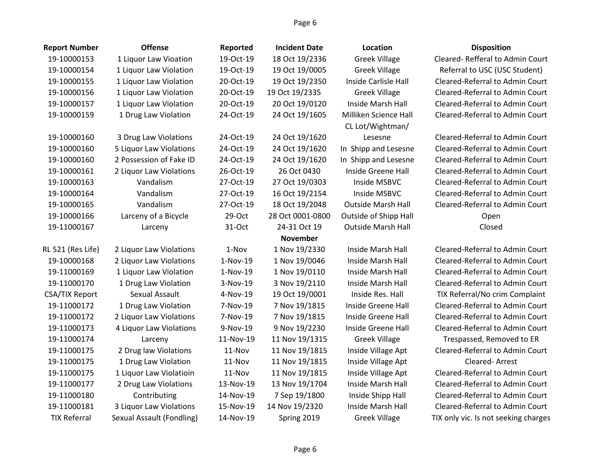| <b>Report Number</b> | <b>Offense</b>            | Reported   | <b>Incident Date</b> | Location                  | <b>Disposition</b>                   |
|----------------------|---------------------------|------------|----------------------|---------------------------|--------------------------------------|
| 19-10000153          | 1 Liquor Law Vioation     | 19-Oct-19  | 18 Oct 19/2336       | <b>Greek Village</b>      | Cleared-Refferal to Admin Court      |
| 19-10000154          | 1 Liquor Law Violation    | 19-Oct-19  | 19 Oct 19/0005       | <b>Greek Village</b>      | Referral to USC (USC Student)        |
| 19-10000155          | 1 Liquor Law Violation    | 20-Oct-19  | 19 Oct 19/2350       | Inside Carlisle Hall      | Cleared-Referral to Admin Court      |
| 19-10000156          | 1 Liquor Law Violation    | 20-Oct-19  | 19 Oct 19/2335       | <b>Greek Village</b>      | Cleared-Referral to Admin Court      |
| 19-10000157          | 1 Liquor Law Violation    | 20-Oct-19  | 20 Oct 19/0120       | Inside Marsh Hall         | Cleared-Referral to Admin Court      |
| 19-10000159          | 1 Drug Law Violation      | 24-Oct-19  | 24 Oct 19/1605       | Milliken Science Hall     | Cleared-Referral to Admin Court      |
|                      |                           |            |                      | CL Lot/Wightman/          |                                      |
| 19-10000160          | 3 Drug Law Violations     | 24-Oct-19  | 24 Oct 19/1620       | Lesesne                   | Cleared-Referral to Admin Court      |
| 19-10000160          | 5 Liquor Law Violations   | 24-Oct-19  | 24 Oct 19/1620       | In Shipp and Lesesne      | Cleared-Referral to Admin Court      |
| 19-10000160          | 2 Possession of Fake ID   | 24-Oct-19  | 24 Oct 19/1620       | In Shipp and Lesesne      | Cleared-Referral to Admin Court      |
| 19-10000161          | 2 Liquor Law Violations   | 26-Oct-19  | 26 Oct 0430          | Inside Greene Hall        | Cleared-Referral to Admin Court      |
| 19-10000163          | Vandalism                 | 27-Oct-19  | 27 Oct 19/0303       | Inside MSBVC              | Cleared-Referral to Admin Court      |
| 19-10000164          | Vandalism                 | 27-Oct-19  | 16 Oct 19/2154       | Inside MSBVC              | Cleared-Referral to Admin Court      |
| 19-10000165          | Vandalism                 | 27-Oct-19  | 18 Oct 19/2048       | <b>Outside Marsh Hall</b> | Cleared-Referral to Admin Court      |
| 19-10000166          | Larceny of a Bicycle      | 29-Oct     | 28 Oct 0001-0800     | Outside of Shipp Hall     | Open                                 |
| 19-11000167          | Larceny                   | 31-Oct     | 24-31 Oct 19         | <b>Outside Marsh Hall</b> | Closed                               |
|                      |                           |            | <b>November</b>      |                           |                                      |
| RL 521 (Res Life)    | 2 Liquor Law Violations   | 1-Nov      | 1 Nov 19/2330        | Inside Marsh Hall         | Cleared-Referral to Admin Court      |
| 19-10000168          | 2 Liquor Law Violations   | $1-Nov-19$ | 1 Nov 19/0046        | Inside Marsh Hall         | Cleared-Referral to Admin Court      |
| 19-11000169          | 1 Liquor Law Violation    | $1-Nov-19$ | 1 Nov 19/0110        | Inside Marsh Hall         | Cleared-Referral to Admin Court      |
| 19-11000170          | 1 Drug Law Violation      | 3-Nov-19   | 3 Nov 19/2110        | Inside Marsh Hall         | Cleared-Referral to Admin Court      |
| CSA/TIX Report       | Sexual Assault            | 4-Nov-19   | 19 Oct 19/0001       | Inside Res. Hall          | TIX Referral/No crim Complaint       |
| 19-11000172          | 1 Drug Law Violation      | 7-Nov-19   | 7 Nov 19/1815        | Inside Greene Hall        | Cleared-Referral to Admin Court      |
| 19-11000172          | 2 Liquor Law Violations   | 7-Nov-19   | 7 Nov 19/1815        | Inside Greene Hall        | Cleared-Referral to Admin Court      |
| 19-11000173          | 4 Liquor Law Violations   | 9-Nov-19   | 9 Nov 19/2230        | Inside Greene Hall        | Cleared-Referral to Admin Court      |
| 19-11000174          | Larceny                   | 11-Nov-19  | 11 Nov 19/1315       | <b>Greek Village</b>      | Trespassed, Removed to ER            |
| 19-11000175          | 2 Drug law Violations     | 11-Nov     | 11 Nov 19/1815       | Inside Village Apt        | Cleared-Referral to Admin Court      |
| 19-11000175          | 1 Drug Law Violation      | 11-Nov     | 11 Nov 19/1815       | Inside Village Apt        | Cleared-Arrest                       |
| 19-11000175          | 1 Liquor Law Violatioin   | 11-Nov     | 11 Nov 19/1815       | Inside Village Apt        | Cleared-Referral to Admin Court      |
| 19-11000177          | 2 Drug Law Violations     | 13-Nov-19  | 13 Nov 19/1704       | Inside Marsh Hall         | Cleared-Referral to Admin Court      |
| 19-11000180          | Contributing              | 14-Nov-19  | 7 Sep 19/1800        | Inside Shipp Hall         | Cleared-Referral to Admin Court      |
| 19-11000181          | 3 Liquor Law Violations   | 15-Nov-19  | 14 Nov 19/2320       | Inside Marsh Hall         | Cleared-Referral to Admin Court      |
| <b>TIX Referral</b>  | Sexual Assault (Fondling) | 14-Nov-19  | Spring 2019          | <b>Greek Village</b>      | TIX only vic. Is not seeking charges |